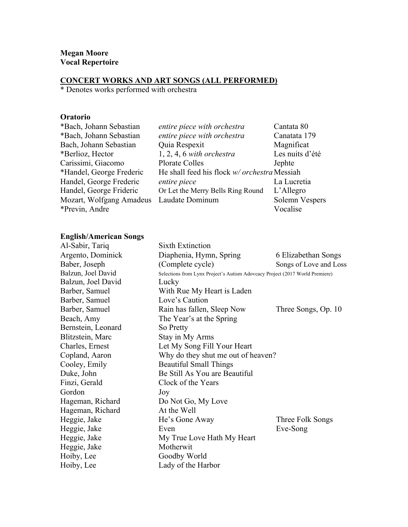#### **CONCERT WORKS AND ART SONGS (ALL PERFORMED)**

\* Denotes works performed with orchestra

# **Oratorio**

| *Bach, Johann Sebastian  | entire piece with orchestra                  | Cantata 80      |
|--------------------------|----------------------------------------------|-----------------|
| *Bach, Johann Sebastian  | entire piece with orchestra                  | Canatata 179    |
| Bach, Johann Sebastian   | Quia Respexit                                | Magnificat      |
| *Berlioz, Hector         | $1, 2, 4, 6$ with orchestra                  | Les nuits d'été |
| Carissimi, Giacomo       | <b>Plorate Colles</b>                        | Jephte          |
| *Handel, George Frederic | He shall feed his flock w/ orchestra Messiah |                 |
| Handel, George Frederic  | entire piece                                 | La Lucretia     |
| Handel, George Frideric  | Or Let the Merry Bells Ring Round            | L'Allegro       |
| Mozart, Wolfgang Amadeus | Laudate Dominum                              | Solemn Vespers  |
| *Previn, Andre           |                                              | Vocalise        |
|                          |                                              |                 |

# **English/American Songs**

| <b>Sixth Extinction</b>                                                      |                        |
|------------------------------------------------------------------------------|------------------------|
| Diaphenia, Hymn, Spring                                                      | 6 Elizabethan Songs    |
| (Complete cycle)                                                             | Songs of Love and Loss |
| Selections from Lynx Project's Autism Adovcacy Project (2017 World Premiere) |                        |
| Lucky                                                                        |                        |
| With Rue My Heart is Laden                                                   |                        |
| Love's Caution                                                               |                        |
| Rain has fallen, Sleep Now                                                   | Three Songs, Op. 10    |
| The Year's at the Spring                                                     |                        |
| So Pretty                                                                    |                        |
| Stay in My Arms                                                              |                        |
| Let My Song Fill Your Heart                                                  |                        |
| Why do they shut me out of heaven?                                           |                        |
| <b>Beautiful Small Things</b>                                                |                        |
| Be Still As You are Beautiful                                                |                        |
| Clock of the Years                                                           |                        |
| Joy                                                                          |                        |
| Do Not Go, My Love                                                           |                        |
| At the Well                                                                  |                        |
| He's Gone Away                                                               | Three Folk Songs       |
| Even                                                                         | Eve-Song               |
| My True Love Hath My Heart                                                   |                        |
| Motherwit                                                                    |                        |
| Goodby World                                                                 |                        |
| Lady of the Harbor                                                           |                        |
|                                                                              |                        |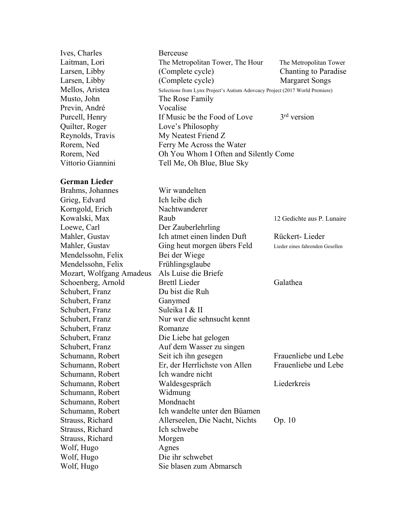| Ives, Charles            | Berceuse                                                                     |                                 |
|--------------------------|------------------------------------------------------------------------------|---------------------------------|
| Laitman, Lori            | The Metropolitan Tower, The Hour                                             | The Metropolitan Tower          |
| Larsen, Libby            | (Complete cycle)                                                             | <b>Chanting to Paradise</b>     |
| Larsen, Libby            | (Complete cycle)                                                             | <b>Margaret Songs</b>           |
| Mellos, Aristea          | Selections from Lynx Project's Autism Adovcacy Project (2017 World Premiere) |                                 |
| Musto, John              | The Rose Family                                                              |                                 |
| Previn, André            | Vocalise                                                                     |                                 |
| Purcell, Henry           | If Music be the Food of Love                                                 | $3rd$ version                   |
| Quilter, Roger           | Love's Philosophy                                                            |                                 |
| Reynolds, Travis         | My Neatest Friend Z                                                          |                                 |
| Rorem, Ned               | Ferry Me Across the Water                                                    |                                 |
| Rorem, Ned               | Oh You Whom I Often and Silently Come                                        |                                 |
| Vittorio Giannini        | Tell Me, Oh Blue, Blue Sky                                                   |                                 |
|                          |                                                                              |                                 |
| <b>German Lieder</b>     |                                                                              |                                 |
| Brahms, Johannes         | Wir wandelten                                                                |                                 |
| Grieg, Edvard            | Ich leibe dich                                                               |                                 |
| Korngold, Erich          | Nachtwanderer                                                                |                                 |
| Kowalski, Max            | Raub                                                                         | 12 Gedichte aus P. Lunaire      |
| Loewe, Carl              | Der Zauberlehrling                                                           |                                 |
| Mahler, Gustav           | Ich atmet einen linden Duft                                                  | Rückert-Lieder                  |
| Mahler, Gustav           | Ging heut morgen übers Feld                                                  | Lieder eines fahrenden Gesellen |
| Mendelssohn, Felix       | Bei der Wiege                                                                |                                 |
| Mendelssohn, Felix       | Frühlingsglaube                                                              |                                 |
| Mozart, Wolfgang Amadeus | Als Luise die Briefe                                                         |                                 |
| Schoenberg, Arnold       | <b>Brettl Lieder</b>                                                         | Galathea                        |
| Schubert, Franz          | Du bist die Ruh                                                              |                                 |
| Schubert, Franz          | Ganymed                                                                      |                                 |
| Schubert, Franz          | Suleika I & II                                                               |                                 |
|                          | Nur wer die sehnsucht kennt                                                  |                                 |
| Schubert, Franz          |                                                                              |                                 |
| Schubert, Franz          | Romanze                                                                      |                                 |
| Schubert, Franz          | Die Liebe hat gelogen                                                        |                                 |
| Schubert, Franz          | Auf dem Wasser zu singen                                                     |                                 |
| Schumann, Robert         | Seit ich ihn gesegen                                                         | Frauenliebe und Lebe            |
| Schumann, Robert         | Er, der Herrlichste von Allen                                                | Frauenliebe und Lebe            |
| Schumann, Robert         | Ich wandre nicht                                                             |                                 |
| Schumann, Robert         | Waldesgespräch                                                               | Liederkreis                     |
| Schumann, Robert         | Widmung                                                                      |                                 |
| Schumann, Robert         | Mondnacht                                                                    |                                 |
| Schumann, Robert         | Ich wandelte unter den Büamen                                                |                                 |
| Strauss, Richard         | Allerseelen, Die Nacht, Nichts                                               | Op. 10                          |
| Strauss, Richard         | Ich schwebe                                                                  |                                 |
| Strauss, Richard         | Morgen                                                                       |                                 |
| Wolf, Hugo               | Agnes                                                                        |                                 |
| Wolf, Hugo               | Die ihr schwebet                                                             |                                 |
| Wolf, Hugo               | Sie blasen zum Abmarsch                                                      |                                 |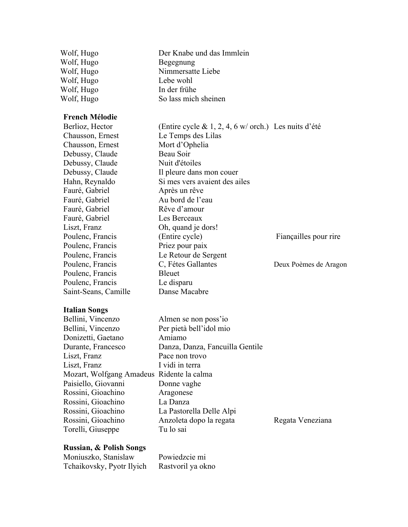Wolf, Hugo Der Knabe und das Immlein Wolf, Hugo Begegnung<br>Wolf, Hugo Nimmersatte Nimmersatte Liebe Wolf, Hugo Lebe wohl Wolf, Hugo In der frühe<br>Wolf, Hugo So lass mich So lass mich sheinen

# **French Mélodie**

| Berlioz, Hector      | (Entire cycle & 1, 2, 4, 6 w/ orch.) Les nuits d'été |                       |
|----------------------|------------------------------------------------------|-----------------------|
| Chausson, Ernest     | Le Temps des Lilas                                   |                       |
| Chausson, Ernest     | Mort d'Ophelia                                       |                       |
| Debussy, Claude      | Beau Soir                                            |                       |
| Debussy, Claude      | Nuit d'étoiles                                       |                       |
| Debussy, Claude      | Il pleure dans mon couer                             |                       |
| Hahn, Reynaldo       | Si mes vers avaient des ailes                        |                       |
| Fauré, Gabriel       | Après un rêve                                        |                       |
| Fauré, Gabriel       | Au bord de l'eau                                     |                       |
| Fauré, Gabriel       | Rêve d'amour                                         |                       |
| Fauré, Gabriel       | Les Berceaux                                         |                       |
| Liszt, Franz         | Oh, quand je dors!                                   |                       |
| Poulenc, Francis     | (Entire cycle)                                       | Fiançailles pour rire |
| Poulenc, Francis     | Priez pour paix                                      |                       |
| Poulenc, Francis     | Le Retour de Sergent                                 |                       |
| Poulenc, Francis     | C, Fétes Gallantes                                   | Deux Poèmes de Aragon |
| Poulenc, Francis     | Bleuet                                               |                       |
| Poulenc, Francis     | Le disparu                                           |                       |
| Saint-Seans, Camille | Danse Macabre                                        |                       |
|                      |                                                      |                       |

# **Italian Songs**

| Bellini, Vincenzo                         | Almen se non poss'io            |
|-------------------------------------------|---------------------------------|
| Bellini, Vincenzo                         | Per pietà bell'idol mio         |
| Donizetti, Gaetano                        | Amiamo                          |
| Durante, Francesco                        | Danza, Danza, Fancuilla Gentile |
| Liszt, Franz                              | Pace non trovo                  |
| Liszt, Franz                              | I vidi in terra                 |
| Mozart, Wolfgang Amadeus Ridente la calma |                                 |
| Paisiello, Giovanni                       | Donne vaghe                     |
| Rossini, Gioachino                        | Aragonese                       |
| Rossini, Gioachino                        | La Danza                        |
| Rossini, Gioachino                        | La Pastorella Delle Alpi        |
| Rossini, Gioachino                        | Anzoleta dopo la regata         |
| Torelli, Giuseppe                         | Tu lo sai                       |
|                                           |                                 |

# **Russian, & Polish Songs**

| Moniuszko, Stanislaw      | Powiedzcie mi     |
|---------------------------|-------------------|
| Tchaikovsky, Pyotr Ilyich | Rastvoril ya okno |

Regata Veneziana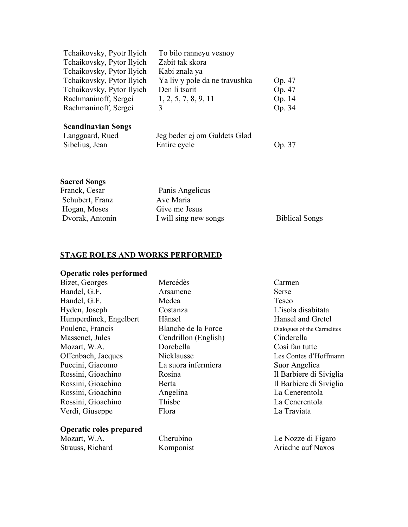| Tchaikovsky, Pyotr Ilyich | To bilo ranneyu vesnoy        |        |
|---------------------------|-------------------------------|--------|
| Tchaikovsky, Pytor Ilyich | Zabit tak skora               |        |
| Tchaikovsky, Pytor Ilyich | Kabi znala ya                 |        |
| Tchaikovsky, Pytor Ilyich | Ya liv y pole da ne travushka | Op. 47 |
| Tchaikovsky, Pytor Ilyich | Den li tsarit                 | Op. 47 |
| Rachmaninoff, Sergei      | 1, 2, 5, 7, 8, 9, 11          | Op. 14 |
| Rachmaninoff, Sergei      |                               | Op. 34 |

|  |  |  |  | <b>Scandinavian Songs</b> |
|--|--|--|--|---------------------------|
|--|--|--|--|---------------------------|

| Langgaard, Rued | Jeg beder ej om Guldets Glød |        |
|-----------------|------------------------------|--------|
| Sibelius, Jean  | Entire cycle                 | Op. 37 |

# **Sacred Songs**

| Franck, Cesar   | Panis Angelicus       |                       |
|-----------------|-----------------------|-----------------------|
| Schubert, Franz | Ave Maria             |                       |
| Hogan, Moses    | Give me Jesus         |                       |
| Dvorak, Antonin | I will sing new songs | <b>Biblical Songs</b> |

# **STAGE ROLES AND WORKS PERFORMED**

# **Operatic roles performed**

| Bizet, Georges                 | Mercédès             | Carmen                      |
|--------------------------------|----------------------|-----------------------------|
| Handel, G.F.                   | Arsamene             | Serse                       |
| Handel, G.F.                   | Medea                | Teseo                       |
| Hyden, Joseph                  | Costanza             | L'isola disabitata          |
| Humperdinck, Engelbert         | Hänsel               | Hansel and Gretel           |
| Poulenc, Francis               | Blanche de la Force  | Dialogues of the Carmelites |
| Massenet, Jules                | Cendrillon (English) | Cinderella                  |
| Mozart, W.A.                   | Dorebella            | Così fan tutte              |
| Offenbach, Jacques             | Nicklausse           | Les Contes d'Hoffmann       |
| Puccini, Giacomo               | La suora infermiera  | Suor Angelica               |
| Rossini, Gioachino             | Rosina               | Il Barbiere di Siviglia     |
| Rossini, Gioachino             | Berta                | Il Barbiere di Siviglia     |
| Rossini, Gioachino             | Angelina             | La Cenerentola              |
| Rossini, Gioachino             | Thisbe               | La Cenerentola              |
| Verdi, Giuseppe                | Flora                | La Traviata                 |
| <b>Operatic roles prepared</b> |                      |                             |

Strauss, Richard

Mozart, W.A. Cherubino Le Nozze di Figaro<br>Strauss, Richard Komponist Ariadne auf Naxos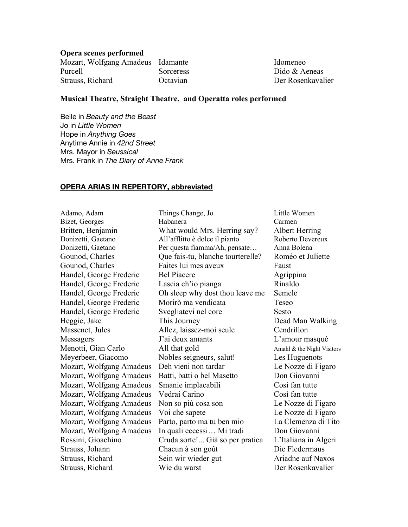#### **Opera scenes performed**

| Mozart, Wolfgang Amadeus Idamante |           |
|-----------------------------------|-----------|
| Purcell                           | Sorceress |
| Strauss, Richard                  | Octavian  |

Idomeneo s Dido & Aeneas Der Rosenkavalier

# **Musical Theatre, Straight Theatre, and Operatta roles performed**

Belle in *Beauty and the Beast* Jo in *Little Women* Hope in *Anything Goes* Anytime Annie in *42nd Street* Mrs. Mayor in *Seussical* Mrs. Frank in *The Diary of Anne Frank*

#### **OPERA ARIAS IN REPERTORY, abbreviated**

| Adamo, Adam              | Things Change, Jo                 | Little W  |
|--------------------------|-----------------------------------|-----------|
| Bizet, Georges           | Habanera                          | Carmen    |
| Britten, Benjamin        | What would Mrs. Herring say?      | Albert I  |
| Donizetti, Gaetano       | All'afflitto è dolce il pianto    | Roberto   |
| Donizetti, Gaetano       | Per questa fiamma/Ah, pensate     | Anna Bc   |
| Gounod, Charles          | Que fais-tu, blanche tourterelle? | Roméo     |
| Gounod, Charles          | Faites lui mes aveux              | Faust     |
| Handel, George Frederic  | <b>Bel Piacere</b>                | Agrippi   |
| Handel, George Frederic  | Lascia ch'io pianga               | Rinaldo   |
| Handel, George Frederic  | Oh sleep why dost thou leave me   | Semele    |
| Handel, George Frederic  | Morirò ma vendicata               | Teseo     |
| Handel, George Frederic  | Svegliatevi nel core              | Sesto     |
| Heggie, Jake             | This Journey                      | Dead M    |
| Massenet, Jules          | Allez, laissez-moi seule          | Cendrill  |
| Messagers                | J'ai deux amants                  | L'amou    |
| Menotti, Gian Carlo      | All that gold                     | Amahl & t |
| Meyerbeer, Giacomo       | Nobles seigneurs, salut!          | Les Hug   |
| Mozart, Wolfgang Amadeus | Deh vieni non tardar              | Le Nozz   |
| Mozart, Wolfgang Amadeus | Batti, batti o bel Masetto        | Don Gio   |
| Mozart, Wolfgang Amadeus | Smanie implacabili                | Così far  |
| Mozart, Wolfgang Amadeus | Vedrai Carino                     | Così far  |
| Mozart, Wolfgang Amadeus | Non so più cosa son               | Le Nozz   |
| Mozart, Wolfgang Amadeus | Voi che sapete                    | Le Nozz   |
| Mozart, Wolfgang Amadeus | Parto, parto ma tu ben mio        | La Clen   |
| Mozart, Wolfgang Amadeus | In quali eccessi Mi tradi         | Don Gio   |
| Rossini, Gioachino       | Cruda sorte! Già so per pratica   | L'Italiai |
| Strauss, Johann          | Chacun à son goût                 | Die Flee  |
| Strauss, Richard         | Sein wir wieder gut               | Ariadne   |
| Strauss, Richard         | Wie du warst                      | Der Ros   |
|                          |                                   |           |

Little Women y? Albert Herring Roberto Devereux donizetti, Anna Bolena lle? Roméo et Juliette Agrippina Dead Man Walking Cendrillon L'amour masqué Amahl  $\&$  the Night Visitors Les Huguenots Le Nozze di Figaro Don Giovanni Così fan tutte Così fan tutte Le Nozze di Figaro Le Nozze di Figaro La Clemenza di Tito Don Giovanni tica L'Italiana in Algeri Die Fledermaus Ariadne auf Naxos Der Rosenkavalier